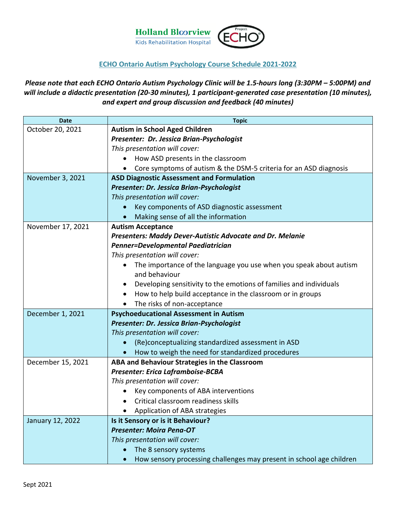

## **ECHO Ontario Autism Psychology Course Schedule 2021-2022**

## *Please note that each ECHO Ontario Autism Psychology Clinic will be 1.5-hours long (3:30PM – 5:00PM) and will include a didactic presentation (20-30 minutes), 1 participant-generated case presentation (10 minutes), and expert and group discussion and feedback (40 minutes)*

| <b>Date</b>       | <b>Topic</b>                                                         |
|-------------------|----------------------------------------------------------------------|
| October 20, 2021  | Autism in School Aged Children                                       |
|                   | Presenter: Dr. Jessica Brian-Psychologist                            |
|                   | This presentation will cover:                                        |
|                   | How ASD presents in the classroom                                    |
|                   | Core symptoms of autism & the DSM-5 criteria for an ASD diagnosis    |
| November 3, 2021  | <b>ASD Diagnostic Assessment and Formulation</b>                     |
|                   | Presenter: Dr. Jessica Brian-Psychologist                            |
|                   | This presentation will cover:                                        |
|                   | Key components of ASD diagnostic assessment                          |
|                   | Making sense of all the information                                  |
| November 17, 2021 | <b>Autism Acceptance</b>                                             |
|                   | <b>Presenters: Maddy Dever-Autistic Advocate and Dr. Melanie</b>     |
|                   | <b>Penner=Developmental Paediatrician</b>                            |
|                   | This presentation will cover:                                        |
|                   | The importance of the language you use when you speak about autism   |
|                   | and behaviour                                                        |
|                   | Developing sensitivity to the emotions of families and individuals   |
|                   | How to help build acceptance in the classroom or in groups           |
|                   | The risks of non-acceptance                                          |
| December 1, 2021  | <b>Psychoeducational Assessment in Autism</b>                        |
|                   | Presenter: Dr. Jessica Brian-Psychologist                            |
|                   | This presentation will cover:                                        |
|                   | (Re)conceptualizing standardized assessment in ASD                   |
|                   | How to weigh the need for standardized procedures                    |
| December 15, 2021 | ABA and Behaviour Strategies in the Classroom                        |
|                   | Presenter: Erica Laframboise-BCBA                                    |
|                   | This presentation will cover:                                        |
|                   | Key components of ABA interventions                                  |
|                   | Critical classroom readiness skills                                  |
|                   | Application of ABA strategies                                        |
| January 12, 2022  | Is it Sensory or is it Behaviour?                                    |
|                   | <b>Presenter: Moira Pena-OT</b>                                      |
|                   | This presentation will cover:                                        |
|                   | The 8 sensory systems                                                |
|                   | How sensory processing challenges may present in school age children |